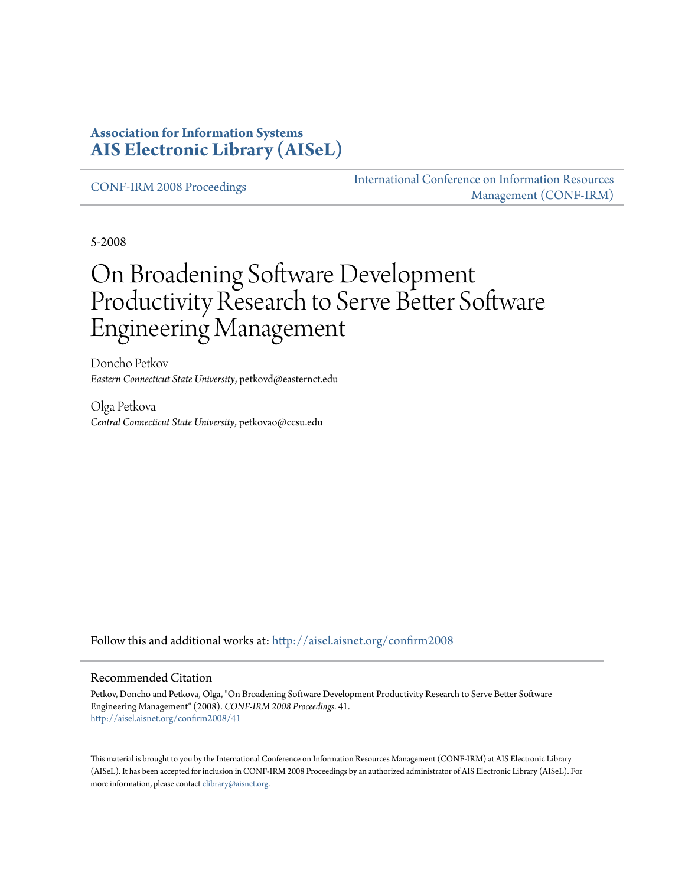#### **Association for Information Systems [AIS Electronic Library \(AISeL\)](http://aisel.aisnet.org?utm_source=aisel.aisnet.org%2Fconfirm2008%2F41&utm_medium=PDF&utm_campaign=PDFCoverPages)**

[CONF-IRM 2008 Proceedings](http://aisel.aisnet.org/confirm2008?utm_source=aisel.aisnet.org%2Fconfirm2008%2F41&utm_medium=PDF&utm_campaign=PDFCoverPages)

[International Conference on Information Resources](http://aisel.aisnet.org/conf-irm?utm_source=aisel.aisnet.org%2Fconfirm2008%2F41&utm_medium=PDF&utm_campaign=PDFCoverPages) [Management \(CONF-IRM\)](http://aisel.aisnet.org/conf-irm?utm_source=aisel.aisnet.org%2Fconfirm2008%2F41&utm_medium=PDF&utm_campaign=PDFCoverPages)

5-2008

# On Broadening Software Development Productivity Research to Serve Better Software Engineering Management

Doncho Petkov *Eastern Connecticut State University*, petkovd@easternct.edu

Olga Petkova *Central Connecticut State University*, petkovao@ccsu.edu

Follow this and additional works at: [http://aisel.aisnet.org/confirm2008](http://aisel.aisnet.org/confirm2008?utm_source=aisel.aisnet.org%2Fconfirm2008%2F41&utm_medium=PDF&utm_campaign=PDFCoverPages)

#### Recommended Citation

Petkov, Doncho and Petkova, Olga, "On Broadening Software Development Productivity Research to Serve Better Software Engineering Management" (2008). *CONF-IRM 2008 Proceedings*. 41. [http://aisel.aisnet.org/confirm2008/41](http://aisel.aisnet.org/confirm2008/41?utm_source=aisel.aisnet.org%2Fconfirm2008%2F41&utm_medium=PDF&utm_campaign=PDFCoverPages)

This material is brought to you by the International Conference on Information Resources Management (CONF-IRM) at AIS Electronic Library (AISeL). It has been accepted for inclusion in CONF-IRM 2008 Proceedings by an authorized administrator of AIS Electronic Library (AISeL). For more information, please contact [elibrary@aisnet.org.](mailto:elibrary@aisnet.org%3E)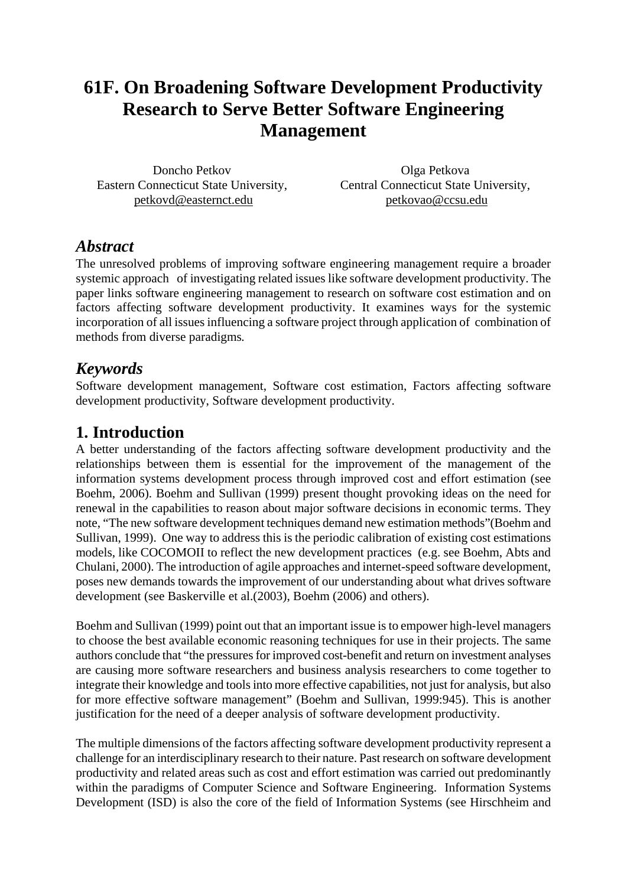## **61F. On Broadening Software Development Productivity Research to Serve Better Software Engineering Management**

Doncho Petkov Eastern Connecticut State University, petkovd@easternct.edu

Olga Petkova Central Connecticut State University, petkovao@ccsu.edu

#### *Abstract*

The unresolved problems of improving software engineering management require a broader systemic approach of investigating related issues like software development productivity. The paper links software engineering management to research on software cost estimation and on factors affecting software development productivity. It examines ways for the systemic incorporation of all issues influencing a software project through application of combination of methods from diverse paradigms*.* 

#### *Keywords*

Software development management, Software cost estimation, Factors affecting software development productivity, Software development productivity.

### **1. Introduction**

A better understanding of the factors affecting software development productivity and the relationships between them is essential for the improvement of the management of the information systems development process through improved cost and effort estimation (see Boehm, 2006). Boehm and Sullivan (1999) present thought provoking ideas on the need for renewal in the capabilities to reason about major software decisions in economic terms. They note, "The new software development techniques demand new estimation methods"(Boehm and Sullivan, 1999). One way to address this is the periodic calibration of existing cost estimations models, like COCOMOII to reflect the new development practices (e.g. see Boehm, Abts and Chulani, 2000). The introduction of agile approaches and internet-speed software development, poses new demands towards the improvement of our understanding about what drives software development (see Baskerville et al.(2003), Boehm (2006) and others).

Boehm and Sullivan (1999) point out that an important issue is to empower high-level managers to choose the best available economic reasoning techniques for use in their projects. The same authors conclude that "the pressures for improved cost-benefit and return on investment analyses are causing more software researchers and business analysis researchers to come together to integrate their knowledge and tools into more effective capabilities, not just for analysis, but also for more effective software management" (Boehm and Sullivan, 1999:945). This is another justification for the need of a deeper analysis of software development productivity.

The multiple dimensions of the factors affecting software development productivity represent a challenge for an interdisciplinary research to their nature. Past research on software development productivity and related areas such as cost and effort estimation was carried out predominantly within the paradigms of Computer Science and Software Engineering. Information Systems Development (ISD) is also the core of the field of Information Systems (see Hirschheim and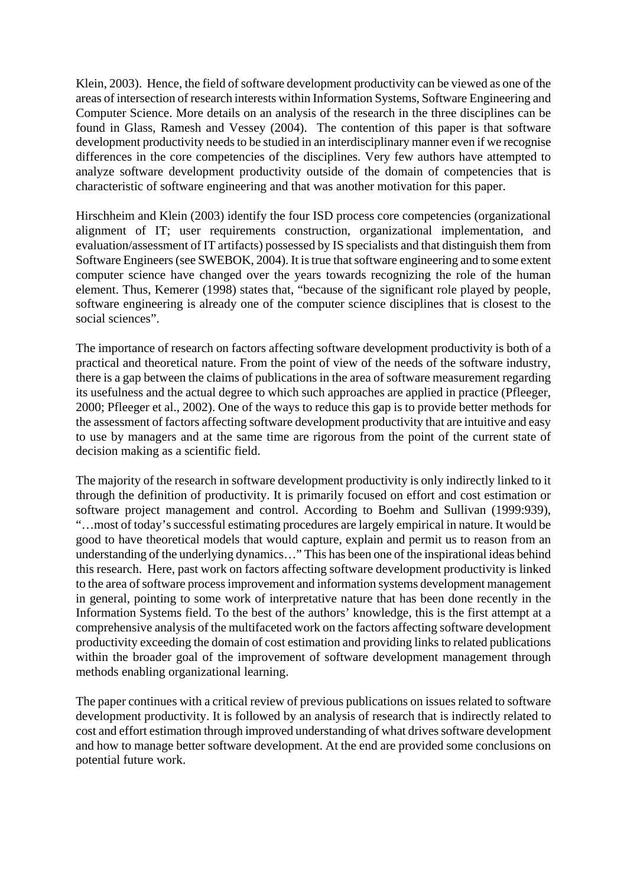Klein, 2003). Hence, the field of software development productivity can be viewed as one of the areas of intersection of research interests within Information Systems, Software Engineering and Computer Science. More details on an analysis of the research in the three disciplines can be found in Glass, Ramesh and Vessey (2004). The contention of this paper is that software development productivity needs to be studied in an interdisciplinary manner even if we recognise differences in the core competencies of the disciplines. Very few authors have attempted to analyze software development productivity outside of the domain of competencies that is characteristic of software engineering and that was another motivation for this paper.

Hirschheim and Klein (2003) identify the four ISD process core competencies (organizational alignment of IT; user requirements construction, organizational implementation, and evaluation/assessment of IT artifacts) possessed by IS specialists and that distinguish them from Software Engineers (see SWEBOK, 2004). It is true that software engineering and to some extent computer science have changed over the years towards recognizing the role of the human element. Thus, Kemerer (1998) states that, "because of the significant role played by people, software engineering is already one of the computer science disciplines that is closest to the social sciences".

The importance of research on factors affecting software development productivity is both of a practical and theoretical nature. From the point of view of the needs of the software industry, there is a gap between the claims of publications in the area of software measurement regarding its usefulness and the actual degree to which such approaches are applied in practice (Pfleeger, 2000; Pfleeger et al., 2002). One of the ways to reduce this gap is to provide better methods for the assessment of factors affecting software development productivity that are intuitive and easy to use by managers and at the same time are rigorous from the point of the current state of decision making as a scientific field.

The majority of the research in software development productivity is only indirectly linked to it through the definition of productivity. It is primarily focused on effort and cost estimation or software project management and control. According to Boehm and Sullivan (1999:939), "…most of today's successful estimating procedures are largely empirical in nature. It would be good to have theoretical models that would capture, explain and permit us to reason from an understanding of the underlying dynamics…" This has been one of the inspirational ideas behind this research. Here, past work on factors affecting software development productivity is linked to the area of software process improvement and information systems development management in general, pointing to some work of interpretative nature that has been done recently in the Information Systems field. To the best of the authors' knowledge, this is the first attempt at a comprehensive analysis of the multifaceted work on the factors affecting software development productivity exceeding the domain of cost estimation and providing links to related publications within the broader goal of the improvement of software development management through methods enabling organizational learning.

The paper continues with a critical review of previous publications on issues related to software development productivity. It is followed by an analysis of research that is indirectly related to cost and effort estimation through improved understanding of what drives software development and how to manage better software development. At the end are provided some conclusions on potential future work.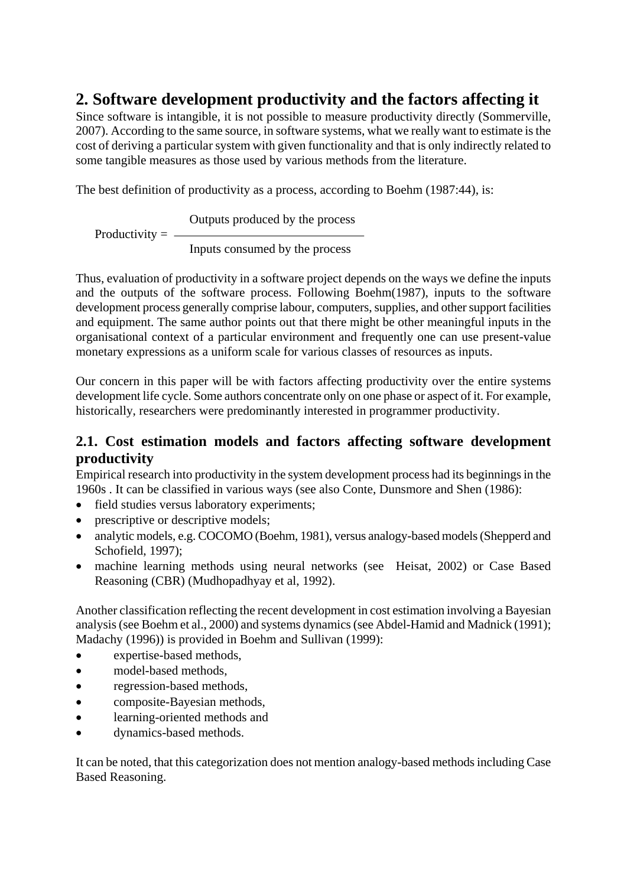### **2. Software development productivity and the factors affecting it**

Since software is intangible, it is not possible to measure productivity directly (Sommerville, 2007). According to the same source, in software systems, what we really want to estimate is the cost of deriving a particular system with given functionality and that is only indirectly related to some tangible measures as those used by various methods from the literature.

The best definition of productivity as a process, according to Boehm (1987:44), is:

Outputs produced by the process Productivity  $=$   $-$ 

Inputs consumed by the process

Thus, evaluation of productivity in a software project depends on the ways we define the inputs and the outputs of the software process. Following Boehm(1987), inputs to the software development process generally comprise labour, computers, supplies, and other support facilities and equipment. The same author points out that there might be other meaningful inputs in the organisational context of a particular environment and frequently one can use present-value monetary expressions as a uniform scale for various classes of resources as inputs.

Our concern in this paper will be with factors affecting productivity over the entire systems development life cycle. Some authors concentrate only on one phase or aspect of it. For example, historically, researchers were predominantly interested in programmer productivity.

#### **2.1. Cost estimation models and factors affecting software development productivity**

Empirical research into productivity in the system development process had its beginnings in the 1960s . It can be classified in various ways (see also Conte, Dunsmore and Shen (1986):

- field studies versus laboratory experiments;
- prescriptive or descriptive models;
- analytic models, e.g. COCOMO (Boehm, 1981), versus analogy-based models (Shepperd and Schofield, 1997):
- machine learning methods using neural networks (see Heisat, 2002) or Case Based Reasoning (CBR) (Mudhopadhyay et al, 1992).

Another classification reflecting the recent development in cost estimation involving a Bayesian analysis (see Boehm et al., 2000) and systems dynamics (see Abdel-Hamid and Madnick (1991); Madachy (1996)) is provided in Boehm and Sullivan (1999):

- expertise-based methods.
- model-based methods.
- regression-based methods,
- composite-Bayesian methods,
- learning-oriented methods and
- dynamics-based methods.

It can be noted, that this categorization does not mention analogy-based methods including Case Based Reasoning.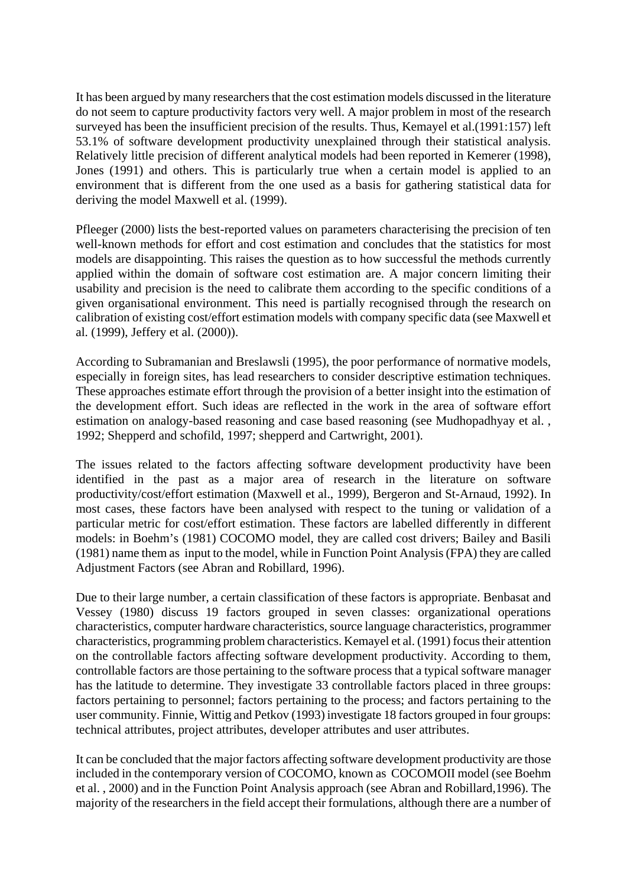It has been argued by many researchers that the cost estimation models discussed in the literature do not seem to capture productivity factors very well. A major problem in most of the research surveyed has been the insufficient precision of the results. Thus, Kemayel et al.(1991:157) left 53.1% of software development productivity unexplained through their statistical analysis. Relatively little precision of different analytical models had been reported in Kemerer (1998), Jones (1991) and others. This is particularly true when a certain model is applied to an environment that is different from the one used as a basis for gathering statistical data for deriving the model Maxwell et al. (1999).

Pfleeger (2000) lists the best-reported values on parameters characterising the precision of ten well-known methods for effort and cost estimation and concludes that the statistics for most models are disappointing. This raises the question as to how successful the methods currently applied within the domain of software cost estimation are. A major concern limiting their usability and precision is the need to calibrate them according to the specific conditions of a given organisational environment. This need is partially recognised through the research on calibration of existing cost/effort estimation models with company specific data (see Maxwell et al. (1999), Jeffery et al. (2000)).

According to Subramanian and Breslawsli (1995), the poor performance of normative models, especially in foreign sites, has lead researchers to consider descriptive estimation techniques. These approaches estimate effort through the provision of a better insight into the estimation of the development effort. Such ideas are reflected in the work in the area of software effort estimation on analogy-based reasoning and case based reasoning (see Mudhopadhyay et al. , 1992; Shepperd and schofild, 1997; shepperd and Cartwright, 2001).

The issues related to the factors affecting software development productivity have been identified in the past as a major area of research in the literature on software productivity/cost/effort estimation (Maxwell et al., 1999), Bergeron and St-Arnaud, 1992). In most cases, these factors have been analysed with respect to the tuning or validation of a particular metric for cost/effort estimation. These factors are labelled differently in different models: in Boehm's (1981) COCOMO model, they are called cost drivers; Bailey and Basili (1981) name them as input to the model, while in Function Point Analysis (FPA) they are called Adjustment Factors (see Abran and Robillard, 1996).

Due to their large number, a certain classification of these factors is appropriate. Benbasat and Vessey (1980) discuss 19 factors grouped in seven classes: organizational operations characteristics, computer hardware characteristics, source language characteristics, programmer characteristics, programming problem characteristics. Kemayel et al. (1991) focus their attention on the controllable factors affecting software development productivity. According to them, controllable factors are those pertaining to the software process that a typical software manager has the latitude to determine. They investigate 33 controllable factors placed in three groups: factors pertaining to personnel; factors pertaining to the process; and factors pertaining to the user community. Finnie, Wittig and Petkov (1993) investigate 18 factors grouped in four groups: technical attributes, project attributes, developer attributes and user attributes.

It can be concluded that the major factors affecting software development productivity are those included in the contemporary version of COCOMO, known as COCOMOII model (see Boehm et al. , 2000) and in the Function Point Analysis approach (see Abran and Robillard,1996). The majority of the researchers in the field accept their formulations, although there are a number of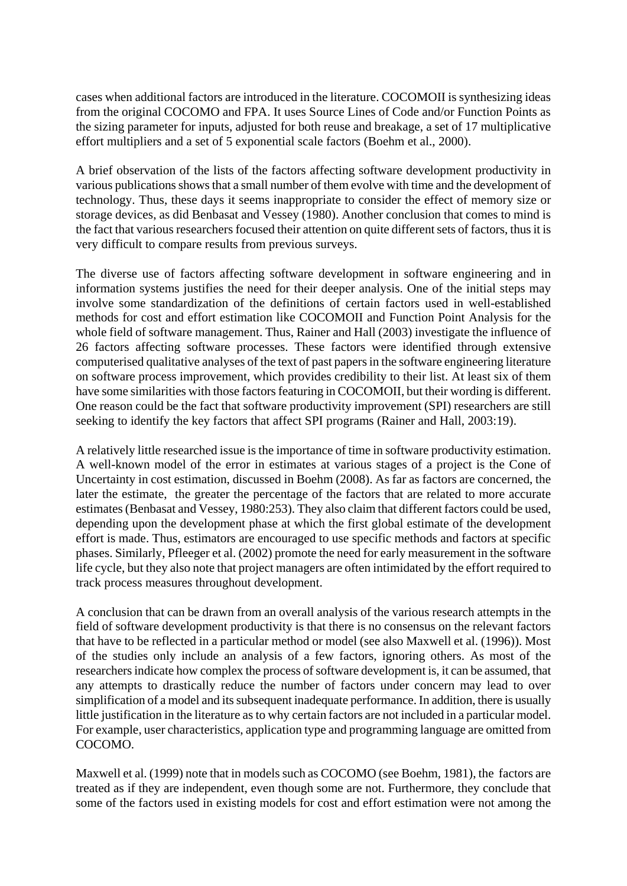cases when additional factors are introduced in the literature. COCOMOII is synthesizing ideas from the original COCOMO and FPA. It uses Source Lines of Code and/or Function Points as the sizing parameter for inputs, adjusted for both reuse and breakage, a set of 17 multiplicative effort multipliers and a set of 5 exponential scale factors (Boehm et al., 2000).

A brief observation of the lists of the factors affecting software development productivity in various publications shows that a small number of them evolve with time and the development of technology. Thus, these days it seems inappropriate to consider the effect of memory size or storage devices, as did Benbasat and Vessey (1980). Another conclusion that comes to mind is the fact that various researchers focused their attention on quite different sets of factors, thus it is very difficult to compare results from previous surveys.

The diverse use of factors affecting software development in software engineering and in information systems justifies the need for their deeper analysis. One of the initial steps may involve some standardization of the definitions of certain factors used in well-established methods for cost and effort estimation like COCOMOII and Function Point Analysis for the whole field of software management. Thus, Rainer and Hall (2003) investigate the influence of 26 factors affecting software processes. These factors were identified through extensive computerised qualitative analyses of the text of past papers in the software engineering literature on software process improvement, which provides credibility to their list. At least six of them have some similarities with those factors featuring in COCOMOII, but their wording is different. One reason could be the fact that software productivity improvement (SPI) researchers are still seeking to identify the key factors that affect SPI programs (Rainer and Hall, 2003:19).

A relatively little researched issue is the importance of time in software productivity estimation. A well-known model of the error in estimates at various stages of a project is the Cone of Uncertainty in cost estimation, discussed in Boehm (2008). As far as factors are concerned, the later the estimate, the greater the percentage of the factors that are related to more accurate estimates (Benbasat and Vessey, 1980:253). They also claim that different factors could be used, depending upon the development phase at which the first global estimate of the development effort is made. Thus, estimators are encouraged to use specific methods and factors at specific phases. Similarly, Pfleeger et al. (2002) promote the need for early measurement in the software life cycle, but they also note that project managers are often intimidated by the effort required to track process measures throughout development.

A conclusion that can be drawn from an overall analysis of the various research attempts in the field of software development productivity is that there is no consensus on the relevant factors that have to be reflected in a particular method or model (see also Maxwell et al. (1996)). Most of the studies only include an analysis of a few factors, ignoring others. As most of the researchers indicate how complex the process of software development is, it can be assumed, that any attempts to drastically reduce the number of factors under concern may lead to over simplification of a model and its subsequent inadequate performance. In addition, there is usually little justification in the literature as to why certain factors are not included in a particular model. For example, user characteristics, application type and programming language are omitted from COCOMO.

Maxwell et al. (1999) note that in models such as COCOMO (see Boehm, 1981), the factors are treated as if they are independent, even though some are not. Furthermore, they conclude that some of the factors used in existing models for cost and effort estimation were not among the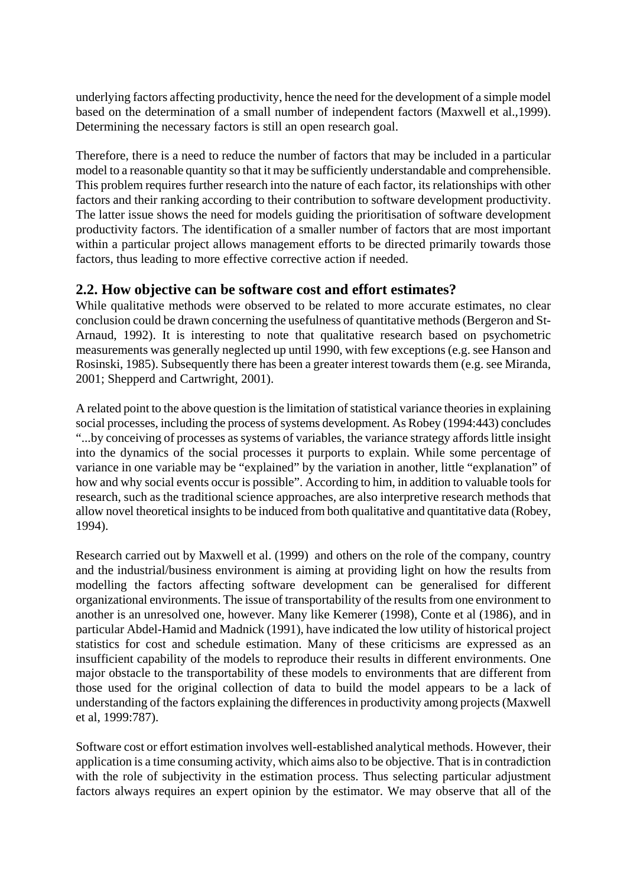underlying factors affecting productivity, hence the need for the development of a simple model based on the determination of a small number of independent factors (Maxwell et al.,1999). Determining the necessary factors is still an open research goal.

Therefore, there is a need to reduce the number of factors that may be included in a particular model to a reasonable quantity so that it may be sufficiently understandable and comprehensible. This problem requires further research into the nature of each factor, its relationships with other factors and their ranking according to their contribution to software development productivity. The latter issue shows the need for models guiding the prioritisation of software development productivity factors. The identification of a smaller number of factors that are most important within a particular project allows management efforts to be directed primarily towards those factors, thus leading to more effective corrective action if needed.

#### **2.2. How objective can be software cost and effort estimates?**

While qualitative methods were observed to be related to more accurate estimates, no clear conclusion could be drawn concerning the usefulness of quantitative methods (Bergeron and St-Arnaud, 1992). It is interesting to note that qualitative research based on psychometric measurements was generally neglected up until 1990, with few exceptions (e.g. see Hanson and Rosinski, 1985). Subsequently there has been a greater interest towards them (e.g. see Miranda, 2001; Shepperd and Cartwright, 2001).

A related point to the above question is the limitation of statistical variance theories in explaining social processes, including the process of systems development. As Robey (1994:443) concludes "...by conceiving of processes as systems of variables, the variance strategy affords little insight into the dynamics of the social processes it purports to explain. While some percentage of variance in one variable may be "explained" by the variation in another, little "explanation" of how and why social events occur is possible". According to him, in addition to valuable tools for research, such as the traditional science approaches, are also interpretive research methods that allow novel theoretical insights to be induced from both qualitative and quantitative data (Robey, 1994).

Research carried out by Maxwell et al. (1999) and others on the role of the company, country and the industrial/business environment is aiming at providing light on how the results from modelling the factors affecting software development can be generalised for different organizational environments. The issue of transportability of the results from one environment to another is an unresolved one, however. Many like Kemerer (1998), Conte et al (1986), and in particular Abdel-Hamid and Madnick (1991), have indicated the low utility of historical project statistics for cost and schedule estimation. Many of these criticisms are expressed as an insufficient capability of the models to reproduce their results in different environments. One major obstacle to the transportability of these models to environments that are different from those used for the original collection of data to build the model appears to be a lack of understanding of the factors explaining the differences in productivity among projects (Maxwell et al, 1999:787).

Software cost or effort estimation involves well-established analytical methods. However, their application is a time consuming activity, which aims also to be objective. That is in contradiction with the role of subjectivity in the estimation process. Thus selecting particular adjustment factors always requires an expert opinion by the estimator. We may observe that all of the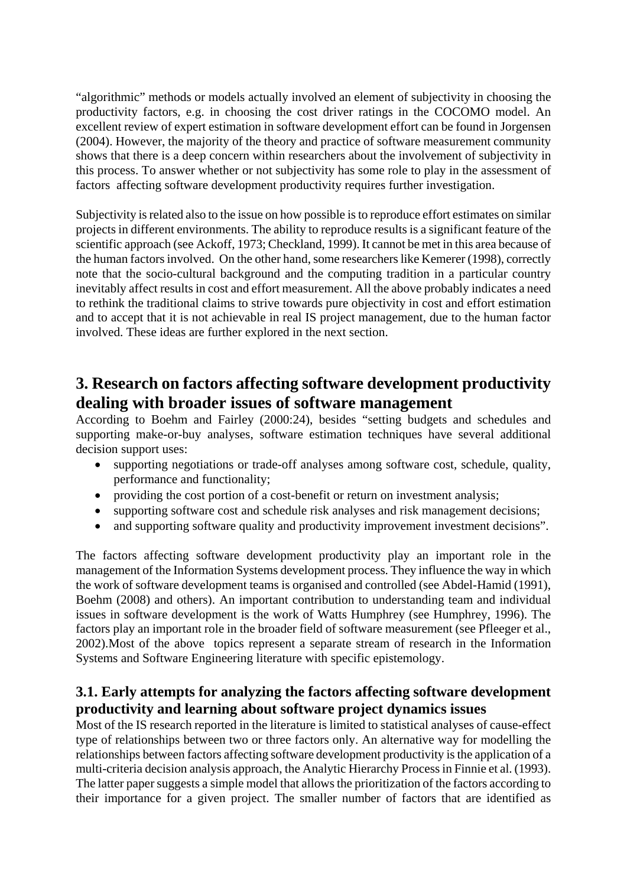"algorithmic" methods or models actually involved an element of subjectivity in choosing the productivity factors, e.g. in choosing the cost driver ratings in the COCOMO model. An excellent review of expert estimation in software development effort can be found in Jorgensen (2004). However, the majority of the theory and practice of software measurement community shows that there is a deep concern within researchers about the involvement of subjectivity in this process. To answer whether or not subjectivity has some role to play in the assessment of factors affecting software development productivity requires further investigation.

Subjectivity is related also to the issue on how possible is to reproduce effort estimates on similar projects in different environments. The ability to reproduce results is a significant feature of the scientific approach (see Ackoff, 1973; Checkland, 1999). It cannot be met in this area because of the human factors involved. On the other hand, some researchers like Kemerer (1998), correctly note that the socio-cultural background and the computing tradition in a particular country inevitably affect results in cost and effort measurement. All the above probably indicates a need to rethink the traditional claims to strive towards pure objectivity in cost and effort estimation and to accept that it is not achievable in real IS project management, due to the human factor involved. These ideas are further explored in the next section.

### **3. Research on factors affecting software development productivity dealing with broader issues of software management**

According to Boehm and Fairley (2000:24), besides "setting budgets and schedules and supporting make-or-buy analyses, software estimation techniques have several additional decision support uses:

- supporting negotiations or trade-off analyses among software cost, schedule, quality, performance and functionality;
- providing the cost portion of a cost-benefit or return on investment analysis;
- supporting software cost and schedule risk analyses and risk management decisions;
- and supporting software quality and productivity improvement investment decisions".

The factors affecting software development productivity play an important role in the management of the Information Systems development process. They influence the way in which the work of software development teams is organised and controlled (see Abdel-Hamid (1991), Boehm (2008) and others). An important contribution to understanding team and individual issues in software development is the work of Watts Humphrey (see Humphrey, 1996). The factors play an important role in the broader field of software measurement (see Pfleeger et al., 2002).Most of the above topics represent a separate stream of research in the Information Systems and Software Engineering literature with specific epistemology.

#### **3.1. Early attempts for analyzing the factors affecting software development productivity and learning about software project dynamics issues**

Most of the IS research reported in the literature is limited to statistical analyses of cause-effect type of relationships between two or three factors only. An alternative way for modelling the relationships between factors affecting software development productivity is the application of a multi-criteria decision analysis approach, the Analytic Hierarchy Process in Finnie et al. (1993). The latter paper suggests a simple model that allows the prioritization of the factors according to their importance for a given project. The smaller number of factors that are identified as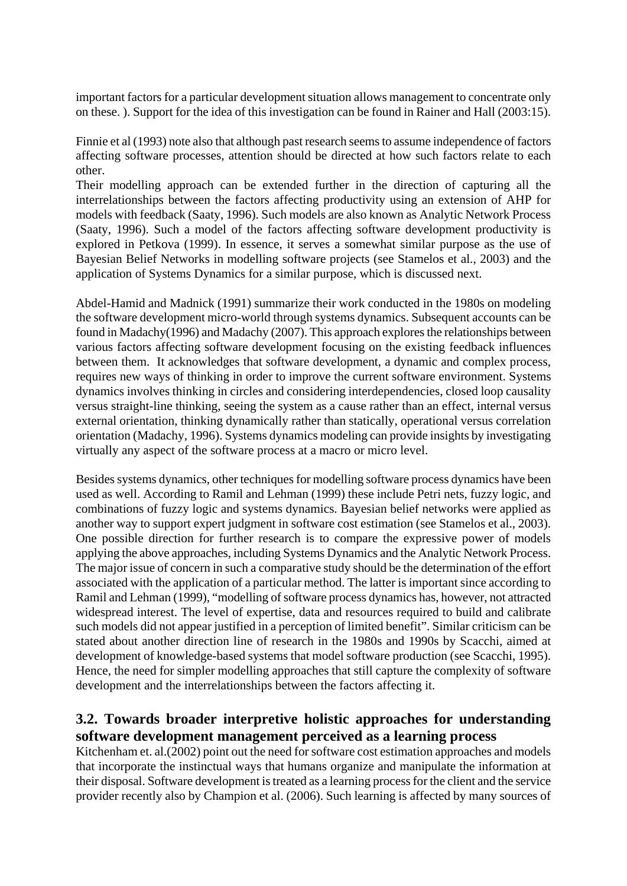important factors for a particular development situation allows management to concentrate only on these. ). Support for the idea of this investigation can be found in Rainer and Hall (2003:15).

Finnie et al (1993) note also that although past research seems to assume independence of factors affecting software processes, attention should be directed at how such factors relate to each other.

Their modelling approach can be extended further in the direction of capturing all the interrelationships between the factors affecting productivity using an extension of AHP for models with feedback (Saaty, 1996). Such models are also known as Analytic Network Process (Saaty, 1996). Such a model of the factors affecting software development productivity is explored in Petkova (1999). In essence, it serves a somewhat similar purpose as the use of Bayesian Belief Networks in modelling software projects (see Stamelos et al., 2003) and the application of Systems Dynamics for a similar purpose, which is discussed next.

Abdel-Hamid and Madnick (1991) summarize their work conducted in the 1980s on modeling the software development micro-world through systems dynamics. Subsequent accounts can be found in Madachy(1996) and Madachy (2007). This approach explores the relationships between various factors affecting software development focusing on the existing feedback influences between them. It acknowledges that software development, a dynamic and complex process, requires new ways of thinking in order to improve the current software environment. Systems dynamics involves thinking in circles and considering interdependencies, closed loop causality versus straight-line thinking, seeing the system as a cause rather than an effect, internal versus external orientation, thinking dynamically rather than statically, operational versus correlation orientation (Madachy, 1996). Systems dynamics modeling can provide insights by investigating virtually any aspect of the software process at a macro or micro level.

Besides systems dynamics, other techniques for modelling software process dynamics have been used as well. According to Ramil and Lehman (1999) these include Petri nets, fuzzy logic, and combinations of fuzzy logic and systems dynamics. Bayesian belief networks were applied as another way to support expert judgment in software cost estimation (see Stamelos et al., 2003). One possible direction for further research is to compare the expressive power of models applying the above approaches, including Systems Dynamics and the Analytic Network Process. The major issue of concern in such a comparative study should be the determination of the effort associated with the application of a particular method. The latter is important since according to Ramil and Lehman (1999), "modelling of software process dynamics has, however, not attracted widespread interest. The level of expertise, data and resources required to build and calibrate such models did not appear justified in a perception of limited benefit". Similar criticism can be stated about another direction line of research in the 1980s and 1990s by Scacchi, aimed at development of knowledge-based systems that model software production (see Scacchi, 1995). Hence, the need for simpler modelling approaches that still capture the complexity of software development and the interrelationships between the factors affecting it.

#### **3.2. Towards broader interpretive holistic approaches for understanding software development management perceived as a learning process**

Kitchenham et. al.(2002) point out the need for software cost estimation approaches and models that incorporate the instinctual ways that humans organize and manipulate the information at their disposal. Software development is treated as a learning process for the client and the service provider recently also by Champion et al. (2006). Such learning is affected by many sources of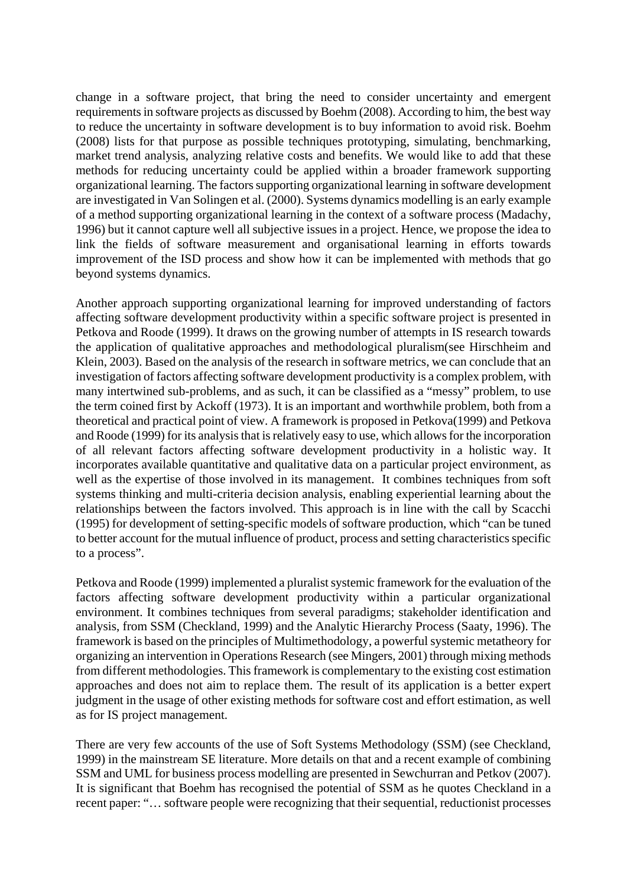change in a software project, that bring the need to consider uncertainty and emergent requirements in software projects as discussed by Boehm (2008). According to him, the best way to reduce the uncertainty in software development is to buy information to avoid risk. Boehm (2008) lists for that purpose as possible techniques prototyping, simulating, benchmarking, market trend analysis, analyzing relative costs and benefits. We would like to add that these methods for reducing uncertainty could be applied within a broader framework supporting organizational learning. The factors supporting organizational learning in software development are investigated in Van Solingen et al. (2000). Systems dynamics modelling is an early example of a method supporting organizational learning in the context of a software process (Madachy, 1996) but it cannot capture well all subjective issues in a project. Hence, we propose the idea to link the fields of software measurement and organisational learning in efforts towards improvement of the ISD process and show how it can be implemented with methods that go beyond systems dynamics.

Another approach supporting organizational learning for improved understanding of factors affecting software development productivity within a specific software project is presented in Petkova and Roode (1999). It draws on the growing number of attempts in IS research towards the application of qualitative approaches and methodological pluralism(see Hirschheim and Klein, 2003). Based on the analysis of the research in software metrics, we can conclude that an investigation of factors affecting software development productivity is a complex problem, with many intertwined sub-problems, and as such, it can be classified as a "messy" problem, to use the term coined first by Ackoff (1973). It is an important and worthwhile problem, both from a theoretical and practical point of view. A framework is proposed in Petkova(1999) and Petkova and Roode (1999) for its analysis that is relatively easy to use, which allows for the incorporation of all relevant factors affecting software development productivity in a holistic way. It incorporates available quantitative and qualitative data on a particular project environment, as well as the expertise of those involved in its management. It combines techniques from soft systems thinking and multi-criteria decision analysis, enabling experiential learning about the relationships between the factors involved. This approach is in line with the call by Scacchi (1995) for development of setting-specific models of software production, which "can be tuned to better account for the mutual influence of product, process and setting characteristics specific to a process".

Petkova and Roode (1999) implemented a pluralist systemic framework for the evaluation of the factors affecting software development productivity within a particular organizational environment. It combines techniques from several paradigms; stakeholder identification and analysis, from SSM (Checkland, 1999) and the Analytic Hierarchy Process (Saaty, 1996). The framework is based on the principles of Multimethodology, a powerful systemic metatheory for organizing an intervention in Operations Research (see Mingers, 2001) through mixing methods from different methodologies. This framework is complementary to the existing cost estimation approaches and does not aim to replace them. The result of its application is a better expert judgment in the usage of other existing methods for software cost and effort estimation, as well as for IS project management.

There are very few accounts of the use of Soft Systems Methodology (SSM) (see Checkland, 1999) in the mainstream SE literature. More details on that and a recent example of combining SSM and UML for business process modelling are presented in Sewchurran and Petkov (2007). It is significant that Boehm has recognised the potential of SSM as he quotes Checkland in a recent paper: "… software people were recognizing that their sequential, reductionist processes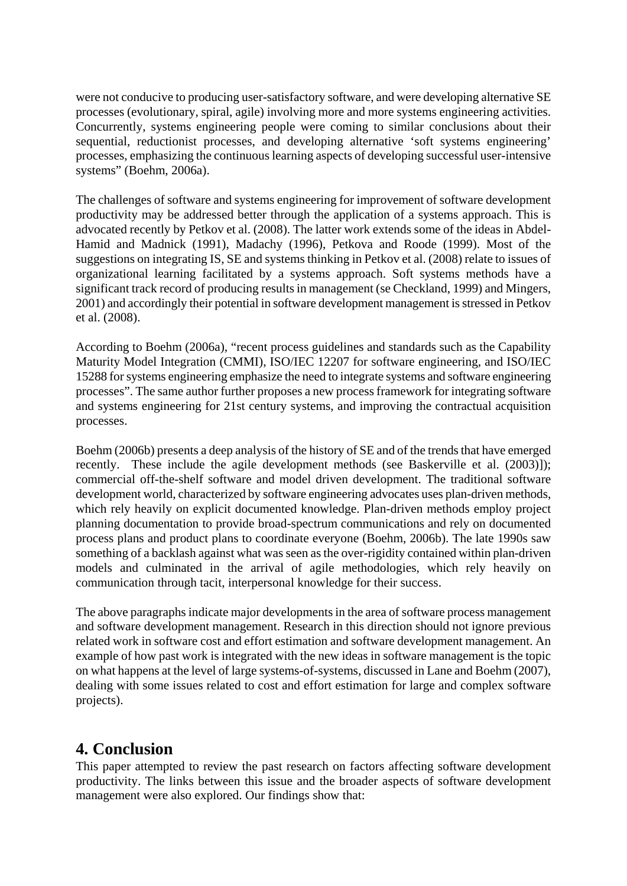were not conducive to producing user-satisfactory software, and were developing alternative SE processes (evolutionary, spiral, agile) involving more and more systems engineering activities. Concurrently, systems engineering people were coming to similar conclusions about their sequential, reductionist processes, and developing alternative 'soft systems engineering' processes, emphasizing the continuous learning aspects of developing successful user-intensive systems" (Boehm, 2006a).

The challenges of software and systems engineering for improvement of software development productivity may be addressed better through the application of a systems approach. This is advocated recently by Petkov et al. (2008). The latter work extends some of the ideas in Abdel-Hamid and Madnick (1991), Madachy (1996), Petkova and Roode (1999). Most of the suggestions on integrating IS, SE and systems thinking in Petkov et al. (2008) relate to issues of organizational learning facilitated by a systems approach. Soft systems methods have a significant track record of producing results in management (se Checkland, 1999) and Mingers, 2001) and accordingly their potential in software development management is stressed in Petkov et al. (2008).

According to Boehm (2006a), "recent process guidelines and standards such as the Capability Maturity Model Integration (CMMI), ISO/IEC 12207 for software engineering, and ISO/IEC 15288 for systems engineering emphasize the need to integrate systems and software engineering processes". The same author further proposes a new process framework for integrating software and systems engineering for 21st century systems, and improving the contractual acquisition processes.

Boehm (2006b) presents a deep analysis of the history of SE and of the trends that have emerged recently. These include the agile development methods (see Baskerville et al. (2003)]); commercial off-the-shelf software and model driven development. The traditional software development world, characterized by software engineering advocates uses plan-driven methods, which rely heavily on explicit documented knowledge. Plan-driven methods employ project planning documentation to provide broad-spectrum communications and rely on documented process plans and product plans to coordinate everyone (Boehm, 2006b). The late 1990s saw something of a backlash against what was seen as the over-rigidity contained within plan-driven models and culminated in the arrival of agile methodologies, which rely heavily on communication through tacit, interpersonal knowledge for their success.

The above paragraphs indicate major developments in the area of software process management and software development management. Research in this direction should not ignore previous related work in software cost and effort estimation and software development management. An example of how past work is integrated with the new ideas in software management is the topic on what happens at the level of large systems-of-systems, discussed in Lane and Boehm (2007), dealing with some issues related to cost and effort estimation for large and complex software projects).

### **4. Conclusion**

This paper attempted to review the past research on factors affecting software development productivity. The links between this issue and the broader aspects of software development management were also explored. Our findings show that: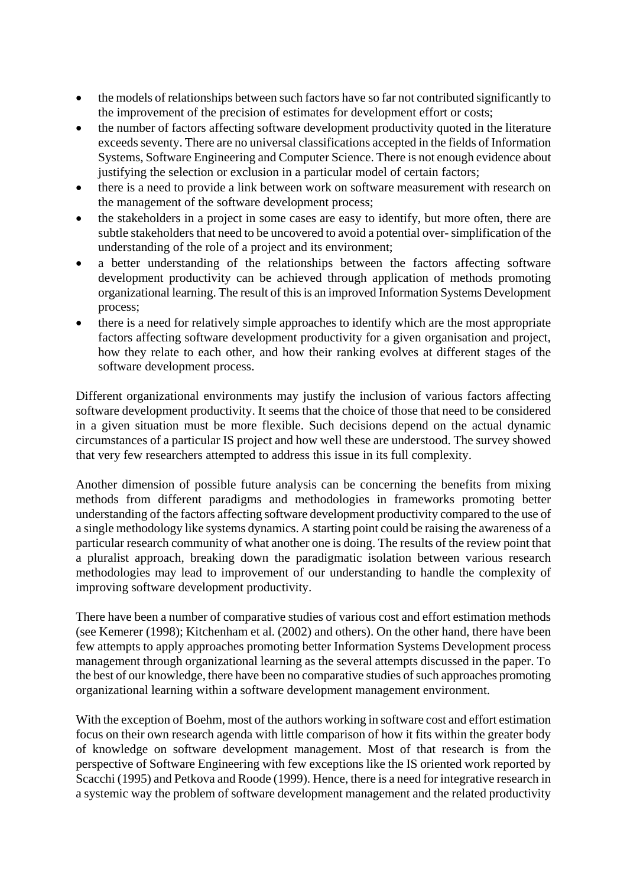- the models of relationships between such factors have so far not contributed significantly to the improvement of the precision of estimates for development effort or costs;
- the number of factors affecting software development productivity quoted in the literature exceeds seventy. There are no universal classifications accepted in the fields of Information Systems, Software Engineering and Computer Science. There is not enough evidence about justifying the selection or exclusion in a particular model of certain factors;
- there is a need to provide a link between work on software measurement with research on the management of the software development process;
- the stakeholders in a project in some cases are easy to identify, but more often, there are subtle stakeholders that need to be uncovered to avoid a potential over- simplification of the understanding of the role of a project and its environment;
- a better understanding of the relationships between the factors affecting software development productivity can be achieved through application of methods promoting organizational learning. The result of this is an improved Information Systems Development process;
- there is a need for relatively simple approaches to identify which are the most appropriate factors affecting software development productivity for a given organisation and project, how they relate to each other, and how their ranking evolves at different stages of the software development process.

Different organizational environments may justify the inclusion of various factors affecting software development productivity. It seems that the choice of those that need to be considered in a given situation must be more flexible. Such decisions depend on the actual dynamic circumstances of a particular IS project and how well these are understood. The survey showed that very few researchers attempted to address this issue in its full complexity.

Another dimension of possible future analysis can be concerning the benefits from mixing methods from different paradigms and methodologies in frameworks promoting better understanding of the factors affecting software development productivity compared to the use of a single methodology like systems dynamics. A starting point could be raising the awareness of a particular research community of what another one is doing. The results of the review point that a pluralist approach, breaking down the paradigmatic isolation between various research methodologies may lead to improvement of our understanding to handle the complexity of improving software development productivity.

There have been a number of comparative studies of various cost and effort estimation methods (see Kemerer (1998); Kitchenham et al. (2002) and others). On the other hand, there have been few attempts to apply approaches promoting better Information Systems Development process management through organizational learning as the several attempts discussed in the paper. To the best of our knowledge, there have been no comparative studies of such approaches promoting organizational learning within a software development management environment.

With the exception of Boehm, most of the authors working in software cost and effort estimation focus on their own research agenda with little comparison of how it fits within the greater body of knowledge on software development management. Most of that research is from the perspective of Software Engineering with few exceptions like the IS oriented work reported by Scacchi (1995) and Petkova and Roode (1999). Hence, there is a need for integrative research in a systemic way the problem of software development management and the related productivity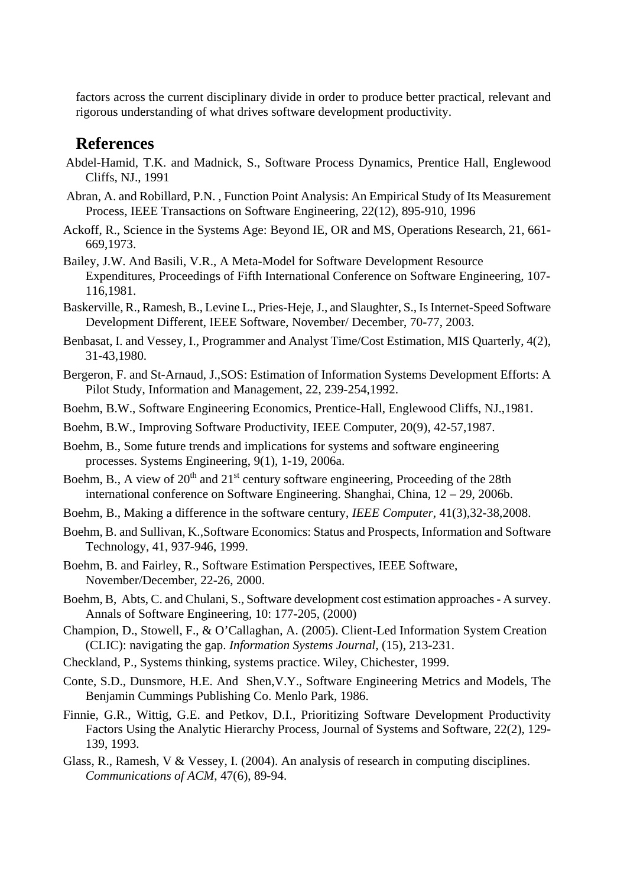factors across the current disciplinary divide in order to produce better practical, relevant and rigorous understanding of what drives software development productivity.

#### **References**

- Abdel-Hamid, T.K. and Madnick, S., Software Process Dynamics, Prentice Hall, Englewood Cliffs, NJ., 1991
- Abran, A. and Robillard, P.N. , Function Point Analysis: An Empirical Study of Its Measurement Process, IEEE Transactions on Software Engineering, 22(12), 895-910, 1996
- Ackoff, R., Science in the Systems Age: Beyond IE, OR and MS, Operations Research, 21, 661- 669,1973.
- Bailey, J.W. And Basili, V.R., A Meta-Model for Software Development Resource Expenditures, Proceedings of Fifth International Conference on Software Engineering, 107- 116,1981.
- Baskerville, R., Ramesh, B., Levine L., Pries-Heje, J., and Slaughter, S., Is Internet-Speed Software Development Different, IEEE Software, November/ December, 70-77, 2003.
- Benbasat, I. and Vessey, I., Programmer and Analyst Time/Cost Estimation, MIS Quarterly, 4(2), 31-43,1980.
- Bergeron, F. and St-Arnaud, J.,SOS: Estimation of Information Systems Development Efforts: A Pilot Study, Information and Management, 22, 239-254,1992.
- Boehm, B.W., Software Engineering Economics, Prentice-Hall, Englewood Cliffs, NJ.,1981.
- Boehm, B.W., Improving Software Productivity, IEEE Computer, 20(9), 42-57,1987.
- Boehm, B., Some future trends and implications for systems and software engineering processes. Systems Engineering, 9(1), 1-19, 2006a.
- Boehm, B., A view of  $20<sup>th</sup>$  and  $21<sup>st</sup>$  century software engineering, Proceeding of the 28th international conference on Software Engineering. Shanghai, China, 12 – 29, 2006b.
- Boehm, B., Making a difference in the software century, *IEEE Computer,* 41(3),32-38,2008.
- Boehm, B. and Sullivan, K.,Software Economics: Status and Prospects, Information and Software Technology, 41, 937-946, 1999.
- Boehm, B. and Fairley, R., Software Estimation Perspectives, IEEE Software, November/December, 22-26, 2000.
- Boehm, B, Abts, C. and Chulani, S., Software development cost estimation approaches A survey. Annals of Software Engineering, 10: 177-205, (2000)
- Champion, D., Stowell, F., & O'Callaghan, A. (2005). Client-Led Information System Creation (CLIC): navigating the gap. *Information Systems Journal,* (15), 213-231.
- Checkland, P., Systems thinking, systems practice. Wiley, Chichester, 1999.
- Conte, S.D., Dunsmore, H.E. And Shen,V.Y., Software Engineering Metrics and Models, The Benjamin Cummings Publishing Co. Menlo Park, 1986.
- Finnie, G.R., Wittig, G.E. and Petkov, D.I., Prioritizing Software Development Productivity Factors Using the Analytic Hierarchy Process, Journal of Systems and Software, 22(2), 129- 139, 1993.
- Glass, R., Ramesh, V & Vessey, I. (2004). An analysis of research in computing disciplines. *Communications of ACM*, 47(6), 89-94.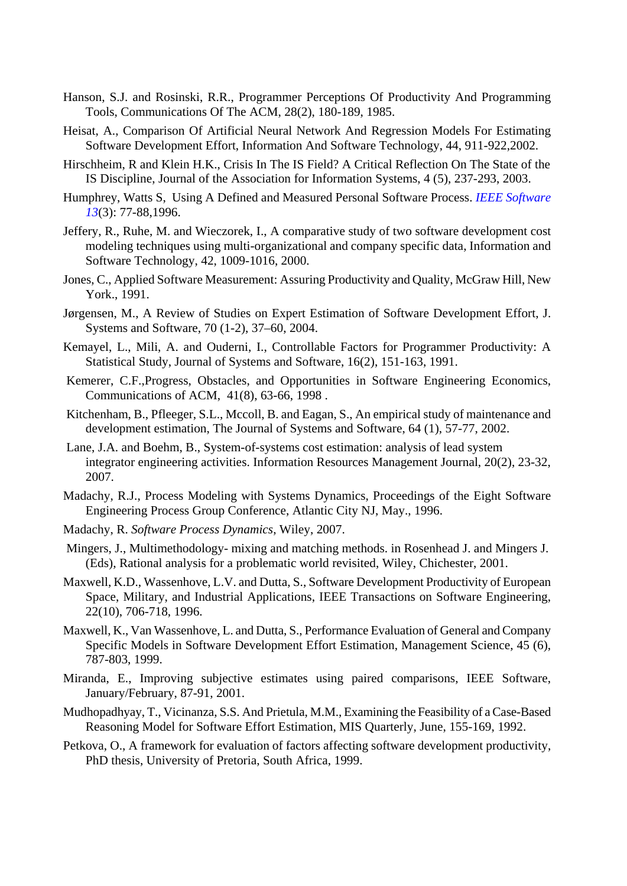- Hanson, S.J. and Rosinski, R.R., Programmer Perceptions Of Productivity And Programming Tools, Communications Of The ACM, 28(2), 180-189, 1985.
- Heisat, A., Comparison Of Artificial Neural Network And Regression Models For Estimating Software Development Effort, Information And Software Technology, 44, 911-922,2002.
- Hirschheim, R and Klein H.K., Crisis In The IS Field? A Critical Reflection On The State of the IS Discipline, Journal of the Association for Information Systems, 4 (5), 237-293, 2003.
- Humphrey, Watts S, Using A Defined and Measured Personal Software Process. *IEEE Software 13*(3): 77-88,1996.
- Jeffery, R., Ruhe, M. and Wieczorek, I., A comparative study of two software development cost modeling techniques using multi-organizational and company specific data, Information and Software Technology, 42, 1009-1016, 2000.
- Jones, C., Applied Software Measurement: Assuring Productivity and Quality, McGraw Hill, New York., 1991.
- Jørgensen, M., A Review of Studies on Expert Estimation of Software Development Effort, J. Systems and Software, 70 (1-2), 37–60, 2004.
- Kemayel, L., Mili, A. and Ouderni, I., Controllable Factors for Programmer Productivity: A Statistical Study, Journal of Systems and Software, 16(2), 151-163, 1991.
- Kemerer, C.F.,Progress, Obstacles, and Opportunities in Software Engineering Economics, Communications of ACM, 41(8), 63-66, 1998 .
- Kitchenham, B., Pfleeger, S.L., Mccoll, B. and Eagan, S., An empirical study of maintenance and development estimation, The Journal of Systems and Software, 64 (1), 57-77, 2002.
- Lane, J.A. and Boehm, B., System-of-systems cost estimation: analysis of lead system integrator engineering activities. Information Resources Management Journal, 20(2), 23-32, 2007.
- Madachy, R.J., Process Modeling with Systems Dynamics, Proceedings of the Eight Software Engineering Process Group Conference, Atlantic City NJ, May., 1996.
- Madachy, R. *Software Process Dynamics*, Wiley, 2007.
- Mingers, J., Multimethodology- mixing and matching methods. in Rosenhead J. and Mingers J. (Eds), Rational analysis for a problematic world revisited, Wiley, Chichester, 2001.
- Maxwell, K.D., Wassenhove, L.V. and Dutta, S., Software Development Productivity of European Space, Military, and Industrial Applications, IEEE Transactions on Software Engineering, 22(10), 706-718, 1996.
- Maxwell, K., Van Wassenhove, L. and Dutta, S., Performance Evaluation of General and Company Specific Models in Software Development Effort Estimation, Management Science, 45 (6), 787-803, 1999.
- Miranda, E., Improving subjective estimates using paired comparisons, IEEE Software, January/February, 87-91, 2001.
- Mudhopadhyay, T., Vicinanza, S.S. And Prietula, M.M., Examining the Feasibility of a Case-Based Reasoning Model for Software Effort Estimation, MIS Quarterly, June, 155-169, 1992.
- Petkova, O., A framework for evaluation of factors affecting software development productivity, PhD thesis, University of Pretoria, South Africa, 1999.